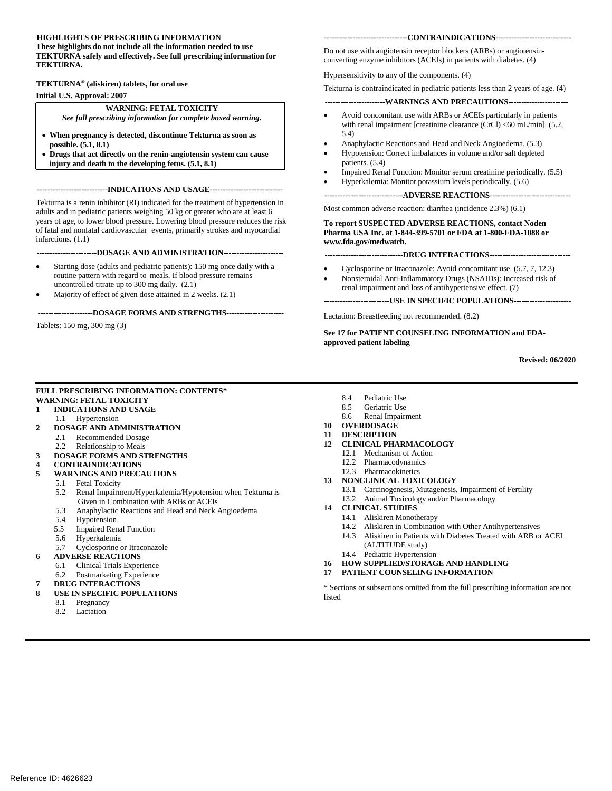#### **HIGHLIGHTS OF PRESCRIBING INFORMATION These highlights do not include all the information needed to use TEKTURNA safely and effectively. See full prescribing information for TEKTURNA.**

# **TEKTURNA® (aliskiren) tablets, for oral use Initial U.S. Approval: 2007**

#### **WARNING: FETAL TOXICITY**

 *See full prescribing information for complete boxed warning.* 

- • **When pregnancy is detected, discontinue Tekturna as soon as possible[. \(5.1, 8](#page-2-0).1)**
- • **Drugs that act directly on the renin-angiotensin system can cause injury and death to the developing fetus. [\(5.1, 8](#page-2-0).1)**

**---------------------------INDICATIONS AND USAGE----------------------------**

 adults and in pediatric patients weighing 50 kg or greater who are at least 6 Tekturna is a renin inhibitor (RI) indicated for the treatment of hypertension in years of age, to lower blood pressure. Lowering blood pressure reduces the risk of fatal and nonfatal cardiovascular events, primarily strokes and myocardial infarctions. [\(1.1\)](#page-1-0) 

**-----------------------DOSAGE AND ADMINISTRATION----------------------**

- Starting dose (adults and pediatric patients): 150 mg once daily with a routine pattern with regard to meals. If blood pressure remains uncontrolled titrate up to 300 mg dail[y. \(2.1\)](#page-1-1)
- Majority of effect of given dose attained in 2 weeks. (2.1)

#### **---------------------DOSAGE FORMS AND STRENGTHS---------------------**

Tablets: 150 mg, 300 m[g \(3\)](#page-1-2) 

#### **--------------------------------CONTRAINDICATIONS----------------------------**

 Do not use with angiotensin receptor blockers (ARBs) or angiotensinconverting enzyme inhibitors (ACEIs) in patients with diabetes[. \(4\)](#page-1-3) 

Hypersensitivity to any of the components. [\(4\)](#page-1-3)

Tekturna is contraindicated in pediatric patients less than 2 years of age. (4)

#### **-----------------------WARNINGS AND PRECAUTIONS----------------------**

- Avoid concomitant use with ARBs or ACEIs particularly in patients with renal impairment [creatinine clearance (CrCl) <60 mL/min]. (5.2, 5.4)
- Anaphylactic Reactions and Head and Neck Angioedema. (5.3)
- Hypotension: Correct imbalances in volume and/or salt depleted patients[. \(5.4\)](#page-2-3)
- Impaired Renal Function: Monitor serum creatinine periodically.  $(5.5)$ Hyperkalemia: Monitor potassium levels periodically. (5.6)

**------------------------------ADVERSE REACTIONS------------------------------**

Most common adverse reaction: diarrhea (incidence 2.[3%\) \(6.1\)](#page-3-0) 

**To report SUSPECTED ADVERSE REACTIONS, contact Noden Pharma USA Inc. at 1-844-399-5701 or FDA at 1-800-FDA-1088 or [www.fda.gov/medwatch.](http://www.fda.gov/medwatch)** 

#### **------------------------------DRUG INTERACTIONS------------------------------**

- Cyclosporine or Itraconazole: Avoid concomitant use. (5.7[, 7,](#page-4-0) 12.3)
- Nonsteroidal Anti-Inflammatory Drugs (NSAIDs): Increased risk of renal impairment and loss of antihypertensive effect. [\(7\)](#page-4-0)

**-------------------------USE IN SPECIFIC POPULATIONS---------------------**

Lactation: Breastfeeding not recommended. (8.2)

**See 17 for PATIENT COUNSELING INFORMATION and FDAapproved patient labeling** 

**Revised: 06/2020** 

#### **FULL PRESCRIBING INFORMATION: CONTENTS\* WARNING: FETAL TOXICITY**

#### **1 [INDICATIONS AND USAGE](#page-1-4)**

- 1.1 [Hypertension](#page-1-0)
- **2 [DOSAGE AND ADMINISTRATION](#page-1-5)** 
	- 2.1 Recommended Dosage<br>2.2 Relationship to Meals
	- **Relationship to Meals**
- **3 [DOSAGE FORMS AND STRENGTHS](#page-1-2)**
- **4 [CONTRAINDICATIONS](#page-1-3)**
- **5 [WARNINGS AND PRECAUTIONS](#page-2-5)** 
	- **Fetal Toxicity** 
		- 5.2 [Renal Impairment/Hyperkalemia/Hypotension when Tekturna is](#page-2-6)  [Given in Combination with ARBs or ACEIs](#page-2-6)
		- 5.3 [Anaphylactic Reactions and Head and Neck Angioedema](#page-2-2)
		- 5.4 [Hypotension](#page-2-3)
		- 5.5 Impair**e**[d Renal Function](#page-2-1)
		- 5.6 [Hyperkalemia](#page-2-4)
	- 5.7 [Cyclosporine or Itraconazole](#page-3-1)
- **6 [ADVERSE REACTIONS](#page-3-2)** 
	-
	- 6.1 Clinical Trials Experience<br>6.2 Postmarketing Experience Postmarketing Experience
- **7 [DRUG INTERACTIONS](#page-4-2)**
- 
- **8 [USE IN SPECIFIC POPULATIONS](#page-5-0)** 
	- 8.1 [Pregnancy](#page-5-1)
	- 8.2 Lactation
- 8.4 [Pediatric Use](#page-6-0)
- 8.5 [Geriatric Use](#page-6-1)
- 8.6 [Renal Impairment](#page-6-2)
- **10 [OVERDOSAGE](#page-6-3)**
- **11 [DESCRIPTION](#page-6-4)**
- **12 [CLINICAL PHARMACOLOGY](#page-7-1)** 
	- 12.1 [Mechanism of Action](#page-7-2)
	- 12.2 [Pharmacodynamics](#page-7-3)
	- 12.3 [Pharmacokinetics](#page-7-0)
- **13 [NONCLINICAL TOXICOLOGY](#page-10-0)**  13.1 [Carcinogenesis, Mutagenesis, Impairment of Fertility](#page-10-1) 
	- 13.2 [Animal Toxicology and/or Pharmacology](#page-10-2)
- **14 [CLINICAL STUDIES](#page-10-3)** 
	- 14.1 [Aliskiren Monotherapy](#page-10-3)
	- 14.2 [Aliskiren in Combination with Other Antihypertensives](#page-11-0)
	- 14.3 [Aliskiren in Patients with Diabetes Treated with ARB or ACEI](#page-12-0)
	- [\(ALTITUDE study\)](#page-12-0)
	- 14.4 Pediatric Hypertension
- **16 [HOW SUPPLIED/STORAGE AND HANDLING](#page-13-0)**
- **17 [PATIENT COUNSELING INFORMATION](#page-14-0)**

\* Sections or subsections omitted from the full prescribing information are not listed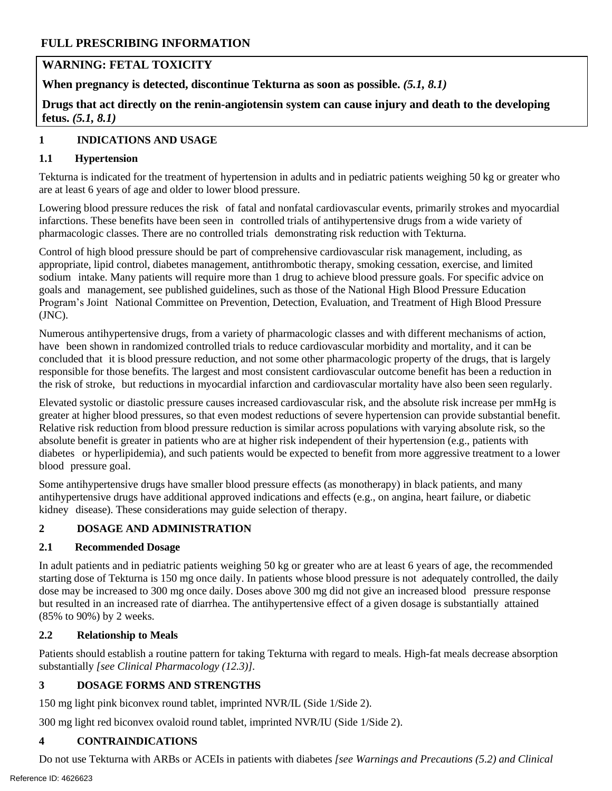# **WARNING: FETAL TOXICITY**

 **When pregnancy is detected, discontinue Tekturna as soon as possible.** *(5.1, 8.1)* 

**Drugs that act directly on the renin-angiotensin system can cause injury and death to the developing fetus.** *(5.1, 8.1)* 

# <span id="page-1-4"></span>**1 INDICATIONS AND USAGE**

#### <span id="page-1-0"></span>**1.1 Hypertension**

 Tekturna is indicated for the treatment of hypertension in adults and in pediatric patients weighing 50 kg or greater who are at least 6 years of age and older to lower blood pressure.

Lowering blood pressure reduces the risk of fatal and nonfatal cardiovascular events, primarily strokes and myocardial infarctions. These benefits have been seen in controlled trials of antihypertensive drugs from a wide variety of pharmacologic classes. There are no controlled trials demonstrating risk reduction with Tekturna.

Control of high blood pressure should be part of comprehensive cardiovascular risk management, including, as appropriate, lipid control, diabetes management, antithrombotic therapy, smoking cessation, exercise, and limited sodium intake. Many patients will require more than 1 drug to achieve blood pressure goals. For specific advice on goals and management, see published guidelines, such as those of the National High Blood Pressure Education Program's Joint National Committee on Prevention, Detection, Evaluation, and Treatment of High Blood Pressure (JNC).

Numerous antihypertensive drugs, from a variety of pharmacologic classes and with different mechanisms of action, have been shown in randomized controlled trials to reduce cardiovascular morbidity and mortality, and it can be concluded that it is blood pressure reduction, and not some other pharmacologic property of the drugs, that is largely responsible for those benefits. The largest and most consistent cardiovascular outcome benefit has been a reduction in the risk of stroke, but reductions in myocardial infarction and cardiovascular mortality have also been seen regularly.

Elevated systolic or diastolic pressure causes increased cardiovascular risk, and the absolute risk increase per mmHg is greater at higher blood pressures, so that even modest reductions of severe hypertension can provide substantial benefit. Relative risk reduction from blood pressure reduction is similar across populations with varying absolute risk, so the absolute benefit is greater in patients who are at higher risk independent of their hypertension (e.g., patients with diabetes or hyperlipidemia), and such patients would be expected to benefit from more aggressive treatment to a lower blood pressure goal.

Some antihypertensive drugs have smaller blood pressure effects (as monotherapy) in black patients, and many antihypertensive drugs have additional approved indications and effects (e.g., on angina, heart failure, or diabetic kidney disease). These considerations may guide selection of therapy.

#### <span id="page-1-5"></span>**2 DOSAGE AND ADMINISTRATION**

#### <span id="page-1-1"></span>**2.1 Recommended Dosage**

In adult patients and in pediatric patients weighing 50 kg or greater who are at least 6 years of age, the recommended starting dose of Tekturna is 150 mg once daily. In patients whose blood pressure is not adequately controlled, the daily dose may be increased to 300 mg once daily. Doses above 300 mg did not give an increased blood pressure response but resulted in an increased rate of diarrhea. The antihypertensive effect of a given dosage is substantially attained (85% to 90%) by 2 weeks.

#### **2.2 Relationship to Meals**

Patients should establish a routine pattern for taking Tekturna with regard to meals. High-fat meals decrease absorption substantially *[see Clinical Pharmacology (12.3)].* 

#### <span id="page-1-2"></span> **3 DOSAGE FORMS AND STRENGTHS**

150 mg light pink biconvex round tablet, imprinted NVR/IL (Side 1/Side 2).

300 mg light red biconvex ovaloid round tablet, imprinted NVR/IU (Side 1/Side 2).

#### <span id="page-1-3"></span>**4 CONTRAINDICATIONS**

Do not use Tekturna with ARBs or ACEIs in patients with diabetes *[see Warnings and Precautions (5.2) and Clinical*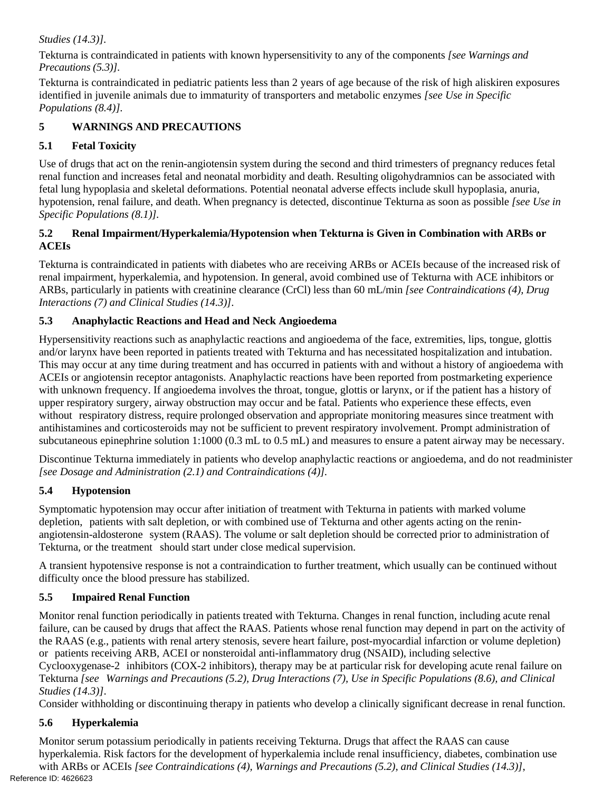#### *Studies (14.3)].*

Tekturna is contraindicated in patients with known hypersensitivity to any of the components *[see Warnings and Precautions (5.3)].*

Tekturna is contraindicated in pediatric patients less than 2 years of age because of the risk of high aliskiren exposures identified in juvenile animals due to immaturity of transporters and metabolic enzymes *[see Use in Specific Populations (8.4)].*

#### <span id="page-2-5"></span>**5 WARNINGS AND PRECAUTIONS**

# <span id="page-2-0"></span>**5.1 Fetal Toxicity**

Use of drugs that act on the renin-angiotensin system during the second and third trimesters of pregnancy reduces fetal renal function and increases fetal and neonatal morbidity and death. Resulting oligohydramnios can be associated with fetal lung hypoplasia and skeletal deformations. Potential neonatal adverse effects include skull hypoplasia, anuria, hypotension, renal failure, and death. When pregnancy is detected, discontinue Tekturna as soon as possible *[see Use in Specific Populations (8.1)].* 

#### <span id="page-2-6"></span>**5.2 Renal Impairment/Hyperkalemia/Hypotension when Tekturna is Given in Combination with ARBs or ACEIs**

Tekturna is contraindicated in patients with diabetes who are receiving ARBs or ACEIs because of the increased risk of renal impairment, hyperkalemia, and hypotension. In general, avoid combined use of Tekturna with ACE inhibitors or ARBs, particularly in patients with creatinine clearance (CrCl) less than 60 mL/min *[see Contraindications (4), Drug Interactions (7) and Clinical Studies (14.3)]*.

# <span id="page-2-2"></span>**5.3 Anaphylactic Reactions and Head and Neck Angioedema**

Hypersensitivity reactions such as anaphylactic reactions and angioedema of the face, extremities, lips, tongue, glottis and/or larynx have been reported in patients treated with Tekturna and has necessitated hospitalization and intubation. This may occur at any time during treatment and has occurred in patients with and without a history of angioedema with ACEIs or angiotensin receptor antagonists. Anaphylactic reactions have been reported from postmarketing experience with unknown frequency. If angioedema involves the throat, tongue, glottis or larynx, or if the patient has a history of upper respiratory surgery, airway obstruction may occur and be fatal. Patients who experience these effects, even without respiratory distress, require prolonged observation and appropriate monitoring measures since treatment with antihistamines and corticosteroids may not be sufficient to prevent respiratory involvement. Prompt administration of subcutaneous epinephrine solution 1:1000 (0.3 mL to 0.5 mL) and measures to ensure a patent airway may be necessary.

Discontinue Tekturna immediately in patients who develop anaphylactic reactions or angioedema, and do not readminister *[see Dosage and Administration (2.1) and Contraindications (4)].* 

# <span id="page-2-3"></span>**5.4 Hypotension**

Symptomatic hypotension may occur after initiation of treatment with Tekturna in patients with marked volume depletion, patients with salt depletion, or with combined use of Tekturna and other agents acting on the reninangiotensin-aldosterone system (RAAS). The volume or salt depletion should be corrected prior to administration of Tekturna, or the treatment should start under close medical supervision.

A transient hypotensive response is not a contraindication to further treatment, which usually can be continued without difficulty once the blood pressure has stabilized.

# <span id="page-2-1"></span>**5.5 Impaired Renal Function**

Monitor renal function periodically in patients treated with Tekturna. Changes in renal function, including acute renal failure, can be caused by drugs that affect the RAAS. Patients whose renal function may depend in part on the activity of the RAAS (e.g., patients with renal artery stenosis, severe heart failure, post-myocardial infarction or volume depletion) or patients receiving ARB, ACEI or nonsteroidal anti-inflammatory drug (NSAID), including selective

Cyclooxygenase-2 inhibitors (COX-2 inhibitors), therapy may be at particular risk for developing acute renal failure on Tekturna *[see Warnings and Precautions (5.2), Drug Interactions (7), Use in Specific Populations (8.6), and Clinical Studies (14.3)]*.

Consider withholding or discontinuing therapy in patients who develop a clinically significant decrease in renal function.

# <span id="page-2-4"></span>**5.6 Hyperkalemia**

Monitor serum potassium periodically in patients receiving Tekturna. Drugs that affect the RAAS can cause hyperkalemia. Risk factors for the development of hyperkalemia include renal insufficiency, diabetes, combination use with ARBs or ACEIs *[see Contraindications (4), Warnings and Precautions (5.2), and Clinical Studies (14.3)*], Reference ID: 4626623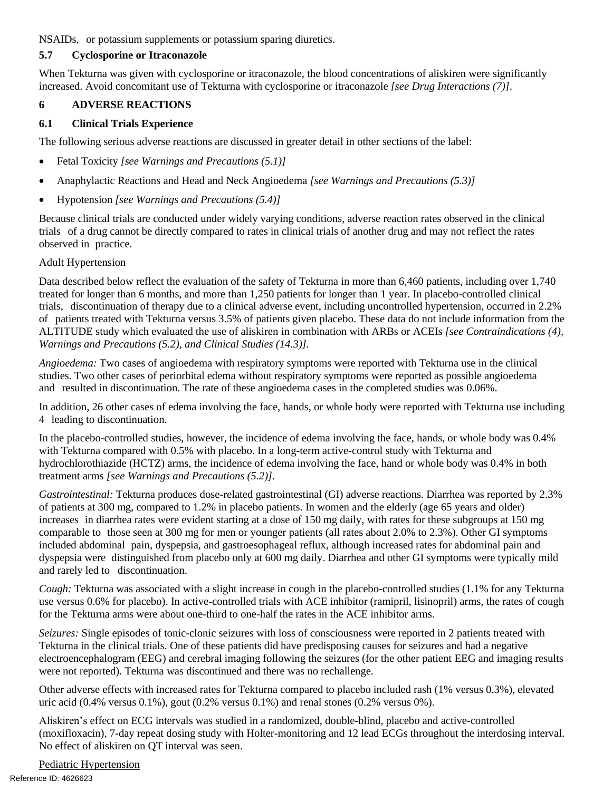NSAIDs, or potassium supplements or potassium sparing diuretics.

#### <span id="page-3-1"></span>**5.7 Cyclosporine or Itraconazole**

When Tekturna was given with cyclosporine or itraconazole, the blood concentrations of aliskiren were significantly increased. Avoid concomitant use of Tekturna with cyclosporine or itraconazole *[see Drug Interactions (7)]*.

#### <span id="page-3-2"></span>**6 ADVERSE REACTIONS**

#### <span id="page-3-0"></span>**6.1 Clinical Trials Experience**

The following serious adverse reactions are discussed in greater detail in other sections of the label:

- Fetal Toxicity *[see Warnings and Precautions (5.1)]*
- Anaphylactic Reactions and Head and Neck Angioedema *[see Warnings and Precautions (5.3)]*
- Hypotension *[see Warnings and Precautions (5.4)]*

Because clinical trials are conducted under widely varying conditions, adverse reaction rates observed in the clinical trials of a drug cannot be directly compared to rates in clinical trials of another drug and may not reflect the rates observed in practice.

#### Adult Hypertension

Data described below reflect the evaluation of the safety of Tekturna in more than 6,460 patients, including over 1,740 treated for longer than 6 months, and more than 1,250 patients for longer than 1 year. In placebo-controlled clinical trials, discontinuation of therapy due to a clinical adverse event, including uncontrolled hypertension, occurred in 2.2% of patients treated with Tekturna versus 3.5% of patients given placebo. These data do not include information from the ALTITUDE study which evaluated the use of aliskiren in combination with ARBs or ACEIs *[see Contraindications (4), Warnings and Precautions (5.2), and Clinical Studies (14.3)].* 

*Angioedema:* Two cases of angioedema with respiratory symptoms were reported with Tekturna use in the clinical studies. Two other cases of periorbital edema without respiratory symptoms were reported as possible angioedema and resulted in discontinuation. The rate of these angioedema cases in the completed studies was 0.06%.

In addition, 26 other cases of edema involving the face, hands, or whole body were reported with Tekturna use including 4 leading to discontinuation.

In the placebo-controlled studies, however, the incidence of edema involving the face, hands, or whole body was 0.4% with Tekturna compared with 0.5% with placebo. In a long-term active-control study with Tekturna and hydrochlorothiazide (HCTZ) arms, the incidence of edema involving the face, hand or whole body was 0.4% in both treatment arms *[see Warnings and Precautions (5.2)].* 

*Gastrointestinal:* Tekturna produces dose-related gastrointestinal (GI) adverse reactions. Diarrhea was reported by 2.3% of patients at 300 mg, compared to 1.2% in placebo patients. In women and the elderly (age 65 years and older) increases in diarrhea rates were evident starting at a dose of 150 mg daily, with rates for these subgroups at 150 mg comparable to those seen at 300 mg for men or younger patients (all rates about 2.0% to 2.3%). Other GI symptoms included abdominal pain, dyspepsia, and gastroesophageal reflux, although increased rates for abdominal pain and dyspepsia were distinguished from placebo only at 600 mg daily. Diarrhea and other GI symptoms were typically mild and rarely led to discontinuation.

*Cough:* Tekturna was associated with a slight increase in cough in the placebo-controlled studies (1.1% for any Tekturna use versus 0.6% for placebo). In active-controlled trials with ACE inhibitor (ramipril, lisinopril) arms, the rates of cough for the Tekturna arms were about one-third to one-half the rates in the ACE inhibitor arms.

*Seizures:* Single episodes of tonic-clonic seizures with loss of consciousness were reported in 2 patients treated with Tekturna in the clinical trials. One of these patients did have predisposing causes for seizures and had a negative electroencephalogram (EEG) and cerebral imaging following the seizures (for the other patient EEG and imaging results were not reported). Tekturna was discontinued and there was no rechallenge.

Other adverse effects with increased rates for Tekturna compared to placebo included rash (1% versus 0.3%), elevated uric acid  $(0.4\%$  versus  $0.1\%)$ , gout  $(0.2\%$  versus  $0.1\%)$  and renal stones  $(0.2\%$  versus  $0\%)$ .

Aliskiren's effect on ECG intervals was studied in a randomized, double-blind, placebo and active-controlled (moxifloxacin), 7-day repeat dosing study with Holter-monitoring and 12 lead ECGs throughout the interdosing interval. No effect of aliskiren on QT interval was seen.

Pediatric Hypertension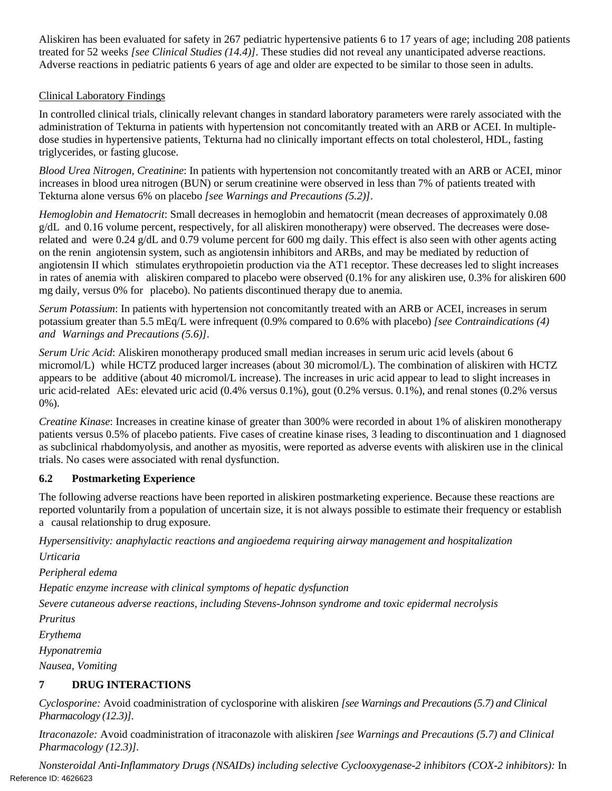Aliskiren has been evaluated for safety in 267 pediatric hypertensive patients 6 to 17 years of age; including 208 patients treated for 52 weeks *[see Clinical Studies (14.4)]*. These studies did not reveal any unanticipated adverse reactions. Adverse reactions in pediatric patients 6 years of age and older are expected to be similar to those seen in adults.

#### Clinical Laboratory Findings

In controlled clinical trials, clinically relevant changes in standard laboratory parameters were rarely associated with the administration of Tekturna in patients with hypertension not concomitantly treated with an ARB or ACEI. In multipledose studies in hypertensive patients, Tekturna had no clinically important effects on total cholesterol, HDL, fasting triglycerides, or fasting glucose.

*Blood Urea Nitrogen, Creatinine*: In patients with hypertension not concomitantly treated with an ARB or ACEI, minor increases in blood urea nitrogen (BUN) or serum creatinine were observed in less than 7% of patients treated with Tekturna alone versus 6% on placebo *[see Warnings and Precautions (5.2)]*.

*Hemoglobin and Hematocrit*: Small decreases in hemoglobin and hematocrit (mean decreases of approximately 0.08 g/dL and 0.16 volume percent, respectively, for all aliskiren monotherapy) were observed. The decreases were doserelated and were 0.24 g/dL and 0.79 volume percent for 600 mg daily. This effect is also seen with other agents acting on the renin angiotensin system, such as angiotensin inhibitors and ARBs, and may be mediated by reduction of angiotensin II which stimulates erythropoietin production via the AT1 receptor. These decreases led to slight increases in rates of anemia with aliskiren compared to placebo were observed (0.1% for any aliskiren use, 0.3% for aliskiren 600 mg daily, versus 0% for placebo). No patients discontinued therapy due to anemia.

*Serum Potassium*: In patients with hypertension not concomitantly treated with an ARB or ACEI, increases in serum potassium greater than 5.5 mEq/L were infrequent (0.9% compared to 0.6% with placebo) *[see Contraindications (4) and Warnings and Precautions (5.6)]*.

*Serum Uric Acid*: Aliskiren monotherapy produced small median increases in serum uric acid levels (about 6 micromol/L) while HCTZ produced larger increases (about 30 micromol/L). The combination of aliskiren with HCTZ appears to be additive (about 40 micromol/L increase). The increases in uric acid appear to lead to slight increases in uric acid-related AEs: elevated uric acid (0.4% versus 0.1%), gout (0.2% versus. 0.1%), and renal stones (0.2% versus 0%).

*Creatine Kinase*: Increases in creatine kinase of greater than 300% were recorded in about 1% of aliskiren monotherapy patients versus 0.5% of placebo patients. Five cases of creatine kinase rises, 3 leading to discontinuation and 1 diagnosed as subclinical rhabdomyolysis, and another as myositis, were reported as adverse events with aliskiren use in the clinical trials. No cases were associated with renal dysfunction.

# <span id="page-4-1"></span>**6.2 Postmarketing Experience**

The following adverse reactions have been reported in aliskiren postmarketing experience. Because these reactions are reported voluntarily from a population of uncertain size, it is not always possible to estimate their frequency or establish a causal relationship to drug exposure.

*Hypersensitivity: anaphylactic reactions and angioedema requiring airway management and hospitalization Urticaria* 

*Peripheral edema* 

*Hepatic enzyme increase with clinical symptoms of hepatic dysfunction* 

*Severe cutaneous adverse reactions, including Stevens-Johnson syndrome and toxic epidermal necrolysis* 

*Pruritus* 

*Erythema* 

*Hyponatremia* 

<span id="page-4-0"></span>*Nausea, Vomiting* 

#### <span id="page-4-2"></span>**DRUG INTERACTIONS 7**

*Cyclosporine:* Avoid coadministration of cyclosporine with aliskiren *[see Warnings and Precautions (5.7) and Clinical Pharmacology (12.3)]*.

*Itraconazole:* Avoid coadministration of itraconazole with aliskiren *[see Warnings and Precautions (5.7) and Clinical Pharmacology (12.3)].* 

*Nonsteroidal Anti-Inflammatory Drugs (NSAIDs) including selective Cyclooxygenase-2 inhibitors (COX-2 inhibitors):* In Reference ID: 4626623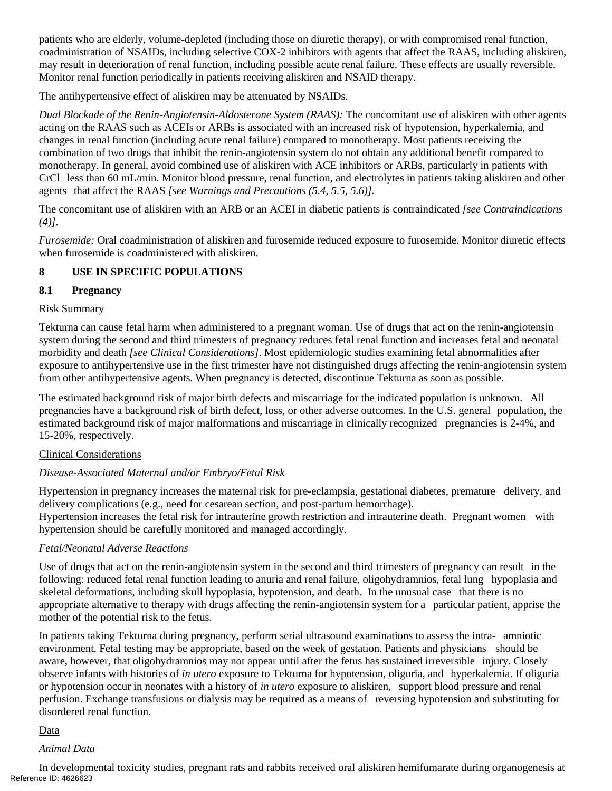patients who are elderly, volume-depleted (including those on diuretic therapy), or with compromised renal function, coadministration of NSAIDs, including selective COX-2 inhibitors with agents that affect the RAAS, including aliskiren, may result in deterioration of renal function, including possible acute renal failure. These effects are usually reversible. Monitor renal function periodically in patients receiving aliskiren and NSAID therapy.

The antihypertensive effect of aliskiren may be attenuated by NSAIDs.

*Dual Blockade of the Renin-Angiotensin-Aldosterone System (RAAS):* The concomitant use of aliskiren with other agents acting on the RAAS such as ACEIs or ARBs is associated with an increased risk of hypotension, hyperkalemia, and changes in renal function (including acute renal failure) compared to monotherapy. Most patients receiving the combination of two drugs that inhibit the renin-angiotensin system do not obtain any additional benefit compared to monotherapy. In general, avoid combined use of aliskiren with ACE inhibitors or ARBs, particularly in patients with CrCl less than 60 mL/min. Monitor blood pressure, renal function, and electrolytes in patients taking aliskiren and other agents that affect the RAAS *[see Warnings and Precautions (5.4, 5.5, 5.6)].* 

The concomitant use of aliskiren with an ARB or an ACEI in diabetic patients is contraindicated *[see Contraindications (4)].* 

*Furosemide:* Oral coadministration of aliskiren and furosemide reduced exposure to furosemide. Monitor diuretic effects when furosemide is coadministered with aliskiren.

#### <span id="page-5-0"></span>**8 USE IN SPECIFIC POPULATIONS**

#### <span id="page-5-1"></span>**8.1 Pregnancy**

#### Risk Summary

Tekturna can cause fetal harm when administered to a pregnant woman. Use of drugs that act on the renin-angiotensin system during the second and third trimesters of pregnancy reduces fetal renal function and increases fetal and neonatal morbidity and death *[see Clinical Considerations]*. Most epidemiologic studies examining fetal abnormalities after exposure to antihypertensive use in the first trimester have not distinguished drugs affecting the renin-angiotensin system from other antihypertensive agents. When pregnancy is detected, discontinue Tekturna as soon as possible.

The estimated background risk of major birth defects and miscarriage for the indicated population is unknown. All pregnancies have a background risk of birth defect, loss, or other adverse outcomes. In the U.S. general population, the estimated background risk of major malformations and miscarriage in clinically recognized pregnancies is 2-4%, and 15-20%, respectively.

#### Clinical Considerations

#### *Disease-Associated Maternal and/or Embryo/Fetal Risk*

Hypertension in pregnancy increases the maternal risk for pre-eclampsia, gestational diabetes, premature delivery, and delivery complications (e.g., need for cesarean section, and post-partum hemorrhage).

Hypertension increases the fetal risk for intrauterine growth restriction and intrauterine death. Pregnant women with hypertension should be carefully monitored and managed accordingly.

#### *Fetal/Neonatal Adverse Reactions*

Use of drugs that act on the renin-angiotensin system in the second and third trimesters of pregnancy can result in the following: reduced fetal renal function leading to anuria and renal failure, oligohydramnios, fetal lung hypoplasia and skeletal deformations, including skull hypoplasia, hypotension, and death. In the unusual case that there is no appropriate alternative to therapy with drugs affecting the renin-angiotensin system for a particular patient, apprise the mother of the potential risk to the fetus.

 observe infants with histories of *in utero* exposure to Tekturna for hypotension, oliguria, and hyperkalemia. If oliguria In patients taking Tekturna during pregnancy, perform serial ultrasound examinations to assess the intra- amniotic environment. Fetal testing may be appropriate, based on the week of gestation. Patients and physicians should be aware, however, that oligohydramnios may not appear until after the fetus has sustained irreversible injury. Closely or hypotension occur in neonates with a history of *in utero* exposure to aliskiren, support blood pressure and renal perfusion. Exchange transfusions or dialysis may be required as a means of reversing hypotension and substituting for disordered renal function.

#### Data

#### *Animal Data*

In developmental toxicity studies, pregnant rats and rabbits received oral aliskiren hemifumarate during organogenesis at Reference ID: 4626623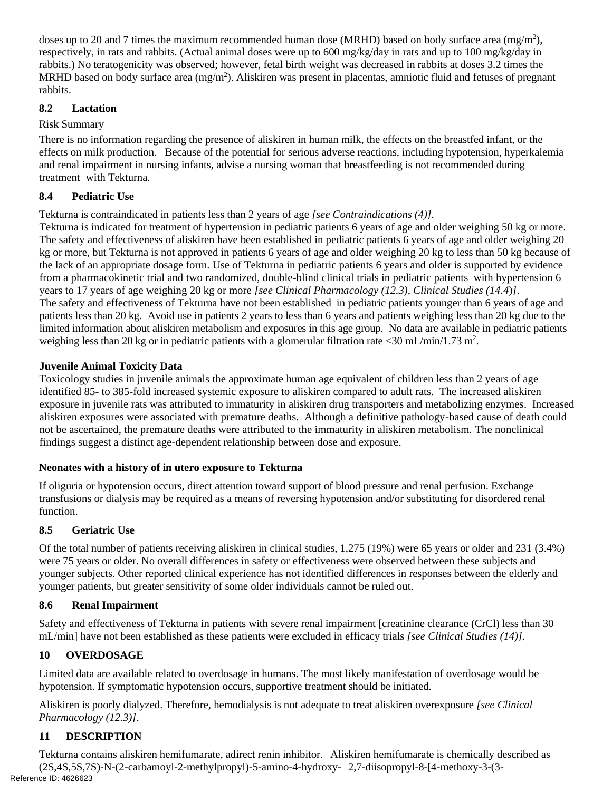doses up to 20 and 7 times the maximum recommended human dose (MRHD) based on body surface area (mg/m<sup>2</sup>), respectively, in rats and rabbits. (Actual animal doses were up to 600 mg/kg/day in rats and up to 100 mg/kg/day in rabbits.) No teratogenicity was observed; however, fetal birth weight was decreased in rabbits at doses 3.2 times the MRHD based on body surface area (mg/m<sup>2</sup>). Aliskiren was present in placentas, amniotic fluid and fetuses of pregnant rabbits.

#### **8.2 Lactation**

#### Risk Summary

There is no information regarding the presence of aliskiren in human milk, the effects on the breastfed infant, or the effects on milk production. Because of the potential for serious adverse reactions, including hypotension, hyperkalemia and renal impairment in nursing infants, advise a nursing woman that breastfeeding is not recommended during treatment with Tekturna.

#### <span id="page-6-0"></span>**8.4 Pediatric Use**

Tekturna is contraindicated in patients less than 2 years of age *[see Contraindications (4)].* 

 Tekturna is indicated for treatment of hypertension in pediatric patients 6 years of age and older weighing 50 kg or more. The safety and effectiveness of aliskiren have been established in pediatric patients 6 years of age and older weighing 20 kg or more, but Tekturna is not approved in patients 6 years of age and older weighing 20 kg to less than 50 kg because of the lack of an appropriate dosage form. Use of Tekturna in pediatric patients 6 years and older is supported by evidence years to 17 years of age weighing 20 kg or more *[see Clinical Pharmacology (12.3), Clinical Studies (14.4*)*]*. The safety and effectiveness of Tekturna have not been established in pediatric patients younger than 6 years of age and patients less than 20 kg. Avoid use in patients 2 years to less than 6 years and patients weighing less than 20 kg due to the limited information about aliskiren metabolism and exposures in this age group. No data are available in pediatric patients weighing less than 20 kg or in pediatric patients with a glomerular filtration rate <30 mL/min/1.73 m<sup>2</sup>. from a pharmacokinetic trial and two randomized, double-blind clinical trials in pediatric patients with hypertension 6

#### **Juvenile Animal Toxicity Data**

 identified 85- to 385-fold increased systemic exposure to aliskiren compared to adult rats. The increased aliskiren Toxicology studies in juvenile animals the approximate human age equivalent of children less than 2 years of age exposure in juvenile rats was attributed to immaturity in aliskiren drug transporters and metabolizing enzymes. Increased aliskiren exposures were associated with premature deaths. Although a definitive pathology-based cause of death could not be ascertained, the premature deaths were attributed to the immaturity in aliskiren metabolism. The nonclinical findings suggest a distinct age-dependent relationship between dose and exposure.

#### **Neonates with a history of in utero exposure to Tekturna**

If oliguria or hypotension occurs, direct attention toward support of blood pressure and renal perfusion. Exchange transfusions or dialysis may be required as a means of reversing hypotension and/or substituting for disordered renal function.

# <span id="page-6-1"></span>**8.5 Geriatric Use**

Of the total number of patients receiving aliskiren in clinical studies, 1,275 (19%) were 65 years or older and 231 (3.4%) were 75 years or older. No overall differences in safety or effectiveness were observed between these subjects and younger subjects. Other reported clinical experience has not identified differences in responses between the elderly and younger patients, but greater sensitivity of some older individuals cannot be ruled out.

#### <span id="page-6-2"></span>**8.6 Renal Impairment**

Safety and effectiveness of Tekturna in patients with severe renal impairment [creatinine clearance (CrCl) less than 30 mL/min] have not been established as these patients were excluded in efficacy trials *[see Clinical Studies (14)].* 

# <span id="page-6-3"></span>**10 OVERDOSAGE**

Limited data are available related to overdosage in humans. The most likely manifestation of overdosage would be hypotension. If symptomatic hypotension occurs, supportive treatment should be initiated.

Aliskiren is poorly dialyzed. Therefore, hemodialysis is not adequate to treat aliskiren overexposure *[see Clinical Pharmacology (12.3)]*.

# <span id="page-6-4"></span>**11 DESCRIPTION**

Tekturna contains aliskiren hemifumarate, adirect renin inhibitor. Aliskiren hemifumarate is chemically described as (2S,4S,5S,7S)-N-(2-carbamoyl-2-methylpropyl)-5-amino-4-hydroxy- 2,7-diisopropyl-8-[4-methoxy-3-(3 Reference ID: 4626623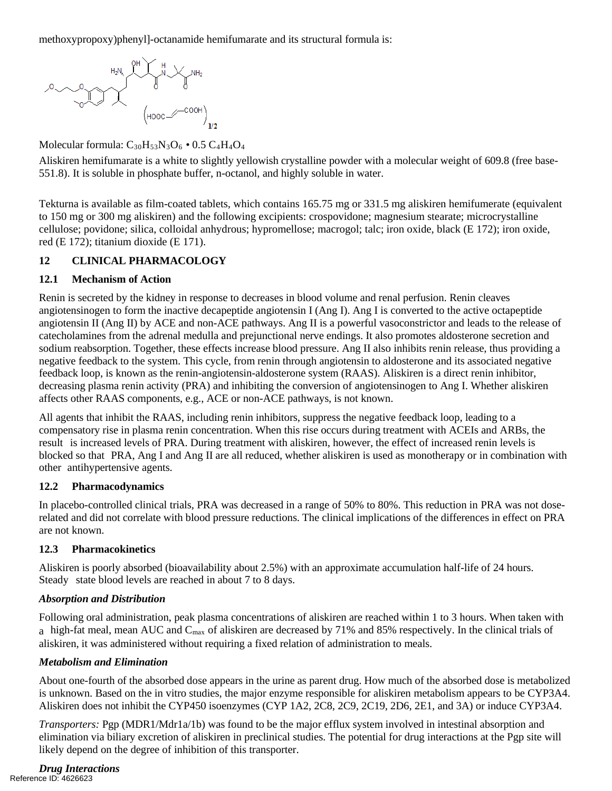methoxypropoxy)phenyl]-octanamide hemifumarate and its structural formula is:



Molecular formula:  $C_{30}H_{53}N_3O_6 \cdot 0.5 C_4H_4O_4$ 

Aliskiren hemifumarate is a white to slightly yellowish crystalline powder with a molecular weight of 609.8 (free base-551.8). It is soluble in phosphate buffer, n-octanol, and highly soluble in water.

Tekturna is available as film-coated tablets, which contains 165.75 mg or 331.5 mg aliskiren hemifumerate (equivalent to 150 mg or 300 mg aliskiren) and the following excipients: crospovidone; magnesium stearate; microcrystalline cellulose; povidone; silica, colloidal anhydrous; hypromellose; macrogol; talc; iron oxide, black (E 172); iron oxide, red (E 172); titanium dioxide (E 171).

#### <span id="page-7-1"></span>**12 CLINICAL PHARMACOLOGY**

#### <span id="page-7-2"></span>**12.1 Mechanism of Action**

Renin is secreted by the kidney in response to decreases in blood volume and renal perfusion. Renin cleaves angiotensinogen to form the inactive decapeptide angiotensin I (Ang I). Ang I is converted to the active octapeptide angiotensin II (Ang II) by ACE and non-ACE pathways. Ang II is a powerful vasoconstrictor and leads to the release of catecholamines from the adrenal medulla and prejunctional nerve endings. It also promotes aldosterone secretion and sodium reabsorption. Together, these effects increase blood pressure. Ang II also inhibits renin release, thus providing a negative feedback to the system. This cycle, from renin through angiotensin to aldosterone and its associated negative feedback loop, is known as the renin-angiotensin-aldosterone system (RAAS). Aliskiren is a direct renin inhibitor, decreasing plasma renin activity (PRA) and inhibiting the conversion of angiotensinogen to Ang I. Whether aliskiren affects other RAAS components, e.g., ACE or non-ACE pathways, is not known.

All agents that inhibit the RAAS, including renin inhibitors, suppress the negative feedback loop, leading to a compensatory rise in plasma renin concentration. When this rise occurs during treatment with ACEIs and ARBs, the result is increased levels of PRA. During treatment with aliskiren, however, the effect of increased renin levels is blocked so that PRA, Ang I and Ang II are all reduced, whether aliskiren is used as monotherapy or in combination with other antihypertensive agents.

#### <span id="page-7-3"></span>**12.2 Pharmacodynamics**

In placebo-controlled clinical trials, PRA was decreased in a range of 50% to 80%. This reduction in PRA was not doserelated and did not correlate with blood pressure reductions. The clinical implications of the differences in effect on PRA are not known.

# <span id="page-7-0"></span>**12.3 Pharmacokinetics**

Aliskiren is poorly absorbed (bioavailability about 2.5%) with an approximate accumulation half-life of 24 hours. Steady state blood levels are reached in about 7 to 8 days.

# *Absorption and Distribution*

Following oral administration, peak plasma concentrations of aliskiren are reached within 1 to 3 hours. When taken with a high-fat meal, mean AUC and C<sub>max</sub> of aliskiren are decreased by 71% and 85% respectively. In the clinical trials of aliskiren, it was administered without requiring a fixed relation of administration to meals.

#### *Metabolism and Elimination*

About one-fourth of the absorbed dose appears in the urine as parent drug. How much of the absorbed dose is metabolized is unknown. Based on the in vitro studies, the major enzyme responsible for aliskiren metabolism appears to be CYP3A4. Aliskiren does not inhibit the CYP450 isoenzymes (CYP 1A2, 2C8, 2C9, 2C19, 2D6, 2E1, and 3A) or induce CYP3A4.

*Transporters:* Pgp (MDR1/Mdr1a/1b) was found to be the major efflux system involved in intestinal absorption and elimination via biliary excretion of aliskiren in preclinical studies. The potential for drug interactions at the Pgp site will likely depend on the degree of inhibition of this transporter.

#### *Drug Interactions*  Reference ID: 4626623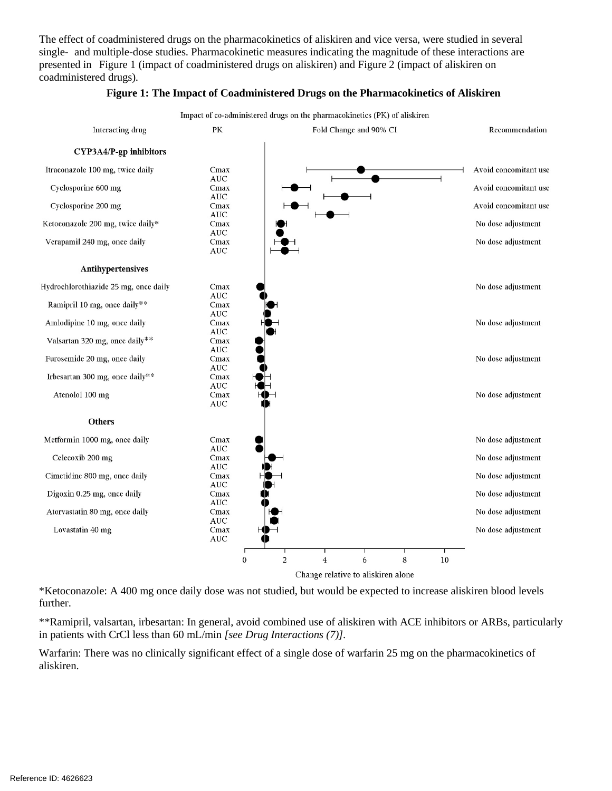The effect of coadministered drugs on the pharmacokinetics of aliskiren and vice versa, were studied in several single- and multiple-dose studies. Pharmacokinetic measures indicating the magnitude of these interactions are presented in Figure 1 (impact of coadministered drugs on aliskiren) and Figure 2 (impact of aliskiren on coadministered drugs).



#### **Figure 1: The Impact of Coadministered Drugs on the Pharmacokinetics of Aliskiren**

\*Ketoconazole: A 400 mg once daily dose was not studied, but would be expected to increase aliskiren blood levels further.

\*\*Ramipril, valsartan, irbesartan: In general, avoid combined use of aliskiren with ACE inhibitors or ARBs, particularly in patients with CrCl less than 60 mL/min *[see Drug Interactions (7)].* 

Warfarin: There was no clinically significant effect of a single dose of warfarin 25 mg on the pharmacokinetics of aliskiren.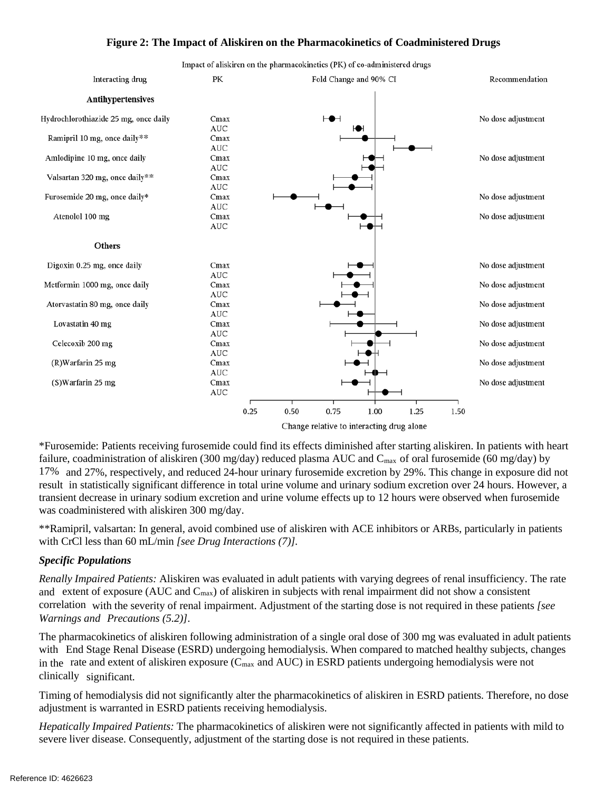#### **Figure 2: The Impact of Aliskiren on the Pharmacokinetics of Coadministered Drugs**



\*Furosemide: Patients receiving furosemide could find its effects diminished after starting aliskiren. In patients with heart failure, coadministration of aliskiren (300 mg/day) reduced plasma AUC and  $C_{\text{max}}$  of oral furosemide (60 mg/day) by 17% and 27%, respectively, and reduced 24-hour urinary furosemide excretion by 29%. This change in exposure did not result in statistically significant difference in total urine volume and urinary sodium excretion over 24 hours. However, a transient decrease in urinary sodium excretion and urine volume effects up to 12 hours were observed when furosemide was coadministered with aliskiren 300 mg/day.

\*\*Ramipril, valsartan: In general, avoid combined use of aliskiren with ACE inhibitors or ARBs, particularly in patients with CrCl less than 60 mL/min *[see Drug Interactions (7)].* 

#### *Specific Populations*

*Renally Impaired Patients:* Aliskiren was evaluated in adult patients with varying degrees of renal insufficiency. The rate and extent of exposure (AUC and  $C_{\text{max}}$ ) of aliskiren in subjects with renal impairment did not show a consistent correlation with the severity of renal impairment. Adjustment of the starting dose is not required in these patients *[see Warnings and Precautions (5.2)]*.

The pharmacokinetics of aliskiren following administration of a single oral dose of 300 mg was evaluated in adult patients with End Stage Renal Disease (ESRD) undergoing hemodialysis. When compared to matched healthy subjects, changes in the rate and extent of aliskiren exposure ( $C_{\text{max}}$  and AUC) in ESRD patients undergoing hemodialysis were not clinically significant.

Timing of hemodialysis did not significantly alter the pharmacokinetics of aliskiren in ESRD patients. Therefore, no dose adjustment is warranted in ESRD patients receiving hemodialysis.

*Hepatically Impaired Patients:* The pharmacokinetics of aliskiren were not significantly affected in patients with mild to severe liver disease. Consequently, adjustment of the starting dose is not required in these patients.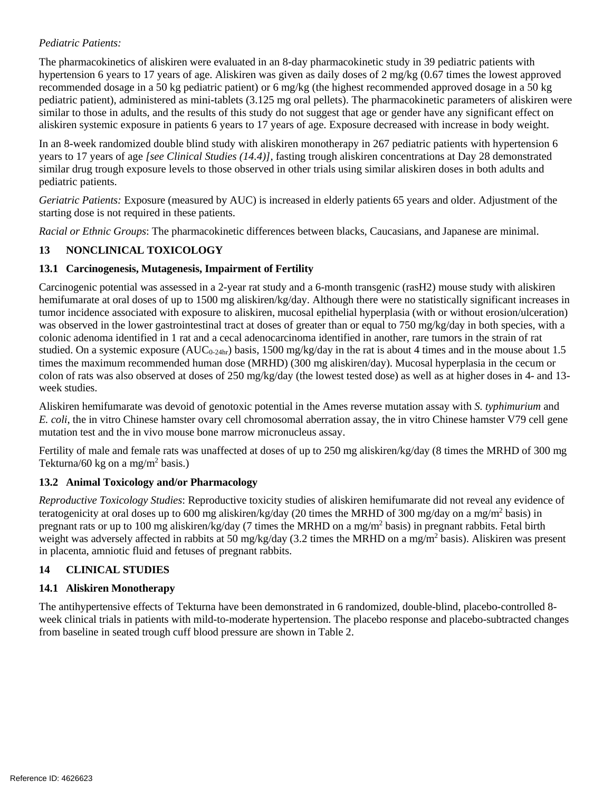#### *Pediatric Patients:*

The pharmacokinetics of aliskiren were evaluated in an 8-day pharmacokinetic study in 39 pediatric patients with hypertension 6 years to 17 years of age. Aliskiren was given as daily doses of 2 mg/kg (0.67 times the lowest approved recommended dosage in a 50 kg pediatric patient) or 6 mg/kg (the highest recommended approved dosage in a 50 kg pediatric patient), administered as mini-tablets (3.125 mg oral pellets). The pharmacokinetic parameters of aliskiren were similar to those in adults, and the results of this study do not suggest that age or gender have any significant effect on aliskiren systemic exposure in patients 6 years to 17 years of age. Exposure decreased with increase in body weight.

In an 8-week randomized double blind study with aliskiren monotherapy in 267 pediatric patients with hypertension 6 years to 17 years of age *[see Clinical Studies (14.4)]*, fasting trough aliskiren concentrations at Day 28 demonstrated similar drug trough exposure levels to those observed in other trials using similar aliskiren doses in both adults and pediatric patients.

*Geriatric Patients:* Exposure (measured by AUC) is increased in elderly patients 65 years and older. Adjustment of the starting dose is not required in these patients.

 *Racial or Ethnic Groups*: The pharmacokinetic differences between blacks, Caucasians, and Japanese are minimal.

#### <span id="page-10-0"></span>**13 NONCLINICAL TOXICOLOGY**

#### <span id="page-10-1"></span>**13.1 Carcinogenesis, Mutagenesis, Impairment of Fertility**

Carcinogenic potential was assessed in a 2-year rat study and a 6-month transgenic (rasH2) mouse study with aliskiren hemifumarate at oral doses of up to 1500 mg aliskiren/kg/day. Although there were no statistically significant increases in tumor incidence associated with exposure to aliskiren, mucosal epithelial hyperplasia (with or without erosion/ulceration) was observed in the lower gastrointestinal tract at doses of greater than or equal to 750 mg/kg/day in both species, with a colonic adenoma identified in 1 rat and a cecal adenocarcinoma identified in another, rare tumors in the strain of rat studied. On a systemic exposure  $(AUC_{0-24hr})$  basis, 1500 mg/kg/day in the rat is about 4 times and in the mouse about 1.5 times the maximum recommended human dose (MRHD) (300 mg aliskiren/day). Mucosal hyperplasia in the cecum or colon of rats was also observed at doses of 250 mg/kg/day (the lowest tested dose) as well as at higher doses in 4- and 13 week studies.

Aliskiren hemifumarate was devoid of genotoxic potential in the Ames reverse mutation assay with *S. typhimurium* and *E. coli*, the in vitro Chinese hamster ovary cell chromosomal aberration assay, the in vitro Chinese hamster V79 cell gene mutation test and the in vivo mouse bone marrow micronucleus assay.

Fertility of male and female rats was unaffected at doses of up to 250 mg aliskiren/kg/day (8 times the MRHD of 300 mg Tekturna/60 kg on a mg/m<sup>2</sup> basis.)

#### <span id="page-10-2"></span>**13.2 Animal Toxicology and/or Pharmacology**

*Reproductive Toxicology Studies*: Reproductive toxicity studies of aliskiren hemifumarate did not reveal any evidence of teratogenicity at oral doses up to 600 mg aliskiren/kg/day (20 times the MRHD of 300 mg/day on a mg/m<sup>2</sup> basis) in pregnant rats or up to 100 mg aliskiren/kg/day (7 times the MRHD on a mg/m<sup>2</sup> basis) in pregnant rabbits. Fetal birth weight was adversely affected in rabbits at 50 mg/kg/day (3.2 times the MRHD on a mg/m<sup>2</sup> basis). Aliskiren was present in placenta, amniotic fluid and fetuses of pregnant rabbits.

#### <span id="page-10-3"></span>**14 CLINICAL STUDIES**

#### **14.1 Aliskiren Monotherapy**

The antihypertensive effects of Tekturna have been demonstrated in 6 randomized, double-blind, placebo-controlled 8 week clinical trials in patients with mild-to-moderate hypertension. The placebo response and placebo-subtracted changes from baseline in seated trough cuff blood pressure are shown in Table 2.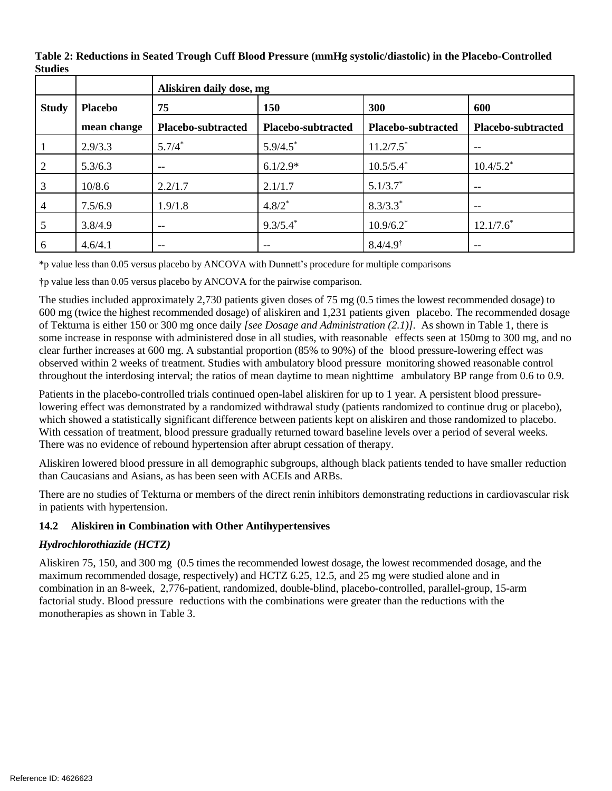|              |                | Aliskiren daily dose, mg |                                                       |                         |                    |  |
|--------------|----------------|--------------------------|-------------------------------------------------------|-------------------------|--------------------|--|
| <b>Study</b> | <b>Placebo</b> | 75                       | <b>150</b>                                            | 300                     | 600                |  |
|              | mean change    | Placebo-subtracted       | Placebo-subtracted                                    | Placebo-subtracted      | Placebo-subtracted |  |
|              | 2.9/3.3        | $5.7/4*$                 | 5.9/4.5                                               | $11.2/7.5$ <sup>*</sup> | --                 |  |
|              | 5.3/6.3        | $- -$                    | $6.1/2.9*$                                            | $10.5/5.4$ <sup>*</sup> | $10.4/5.2^*$       |  |
| 3            | 10/8.6         | 2.2/1.7                  | 2.1/1.7                                               | $5.1/3.7^*$             | --                 |  |
| 4            | 7.5/6.9        | 1.9/1.8                  | $4.8/2*$                                              | $8.3/3.3*$              | --                 |  |
|              | 3.8/4.9        | $- -$                    | $9.3/5.4^*$                                           | $10.9/6.2$ <sup>*</sup> | $12.1/7.6^*$       |  |
| 6            | 4.6/4.1        | $-$                      | $\hspace{0.05cm} - \hspace{0.05cm} - \hspace{0.05cm}$ | $8.4/4.9^{\dagger}$     | --                 |  |

**Table 2: Reductions in Seated Trough Cuff Blood Pressure (mmHg systolic/diastolic) in the Placebo-Controlled Studies** 

\*p value less than 0.05 versus placebo by ANCOVA with Dunnett's procedure for multiple comparisons

†p value less than 0.05 versus placebo by ANCOVA for the pairwise comparison.

 The studies included approximately 2,730 patients given doses of 75 mg (0.5 times the lowest recommended dosage) to 600 mg (twice the highest recommended dosage) of aliskiren and 1,231 patients given placebo. The recommended dosage of Tekturna is either 150 or 300 mg once daily *[see Dosage and Administration (2.1)].* As shown in Table 1, there is some increase in response with administered dose in all studies, with reasonable effects seen at 150mg to 300 mg, and no clear further increases at 600 mg. A substantial proportion (85% to 90%) of the blood pressure-lowering effect was observed within 2 weeks of treatment. Studies with ambulatory blood pressure monitoring showed reasonable control throughout the interdosing interval; the ratios of mean daytime to mean nighttime ambulatory BP range from 0.6 to 0.9.

Patients in the placebo-controlled trials continued open-label aliskiren for up to 1 year. A persistent blood pressurelowering effect was demonstrated by a randomized withdrawal study (patients randomized to continue drug or placebo), which showed a statistically significant difference between patients kept on aliskiren and those randomized to placebo. With cessation of treatment, blood pressure gradually returned toward baseline levels over a period of several weeks. There was no evidence of rebound hypertension after abrupt cessation of therapy.

Aliskiren lowered blood pressure in all demographic subgroups, although black patients tended to have smaller reduction than Caucasians and Asians, as has been seen with ACEIs and ARBs.

There are no studies of Tekturna or members of the direct renin inhibitors demonstrating reductions in cardiovascular risk in patients with hypertension.

#### <span id="page-11-0"></span>**14.2 Aliskiren in Combination with Other Antihypertensives**

# *Hydrochlorothiazide (HCTZ)*

 Aliskiren 75, 150, and 300 mg (0.5 times the recommended lowest dosage, the lowest recommended dosage, and the maximum recommended dosage, respectively) and HCTZ 6.25, 12.5, and 25 mg were studied alone and in combination in an 8-week, 2,776-patient, randomized, double-blind, placebo-controlled, parallel-group, 15-arm factorial study. Blood pressure reductions with the combinations were greater than the reductions with the monotherapies as shown in Table 3.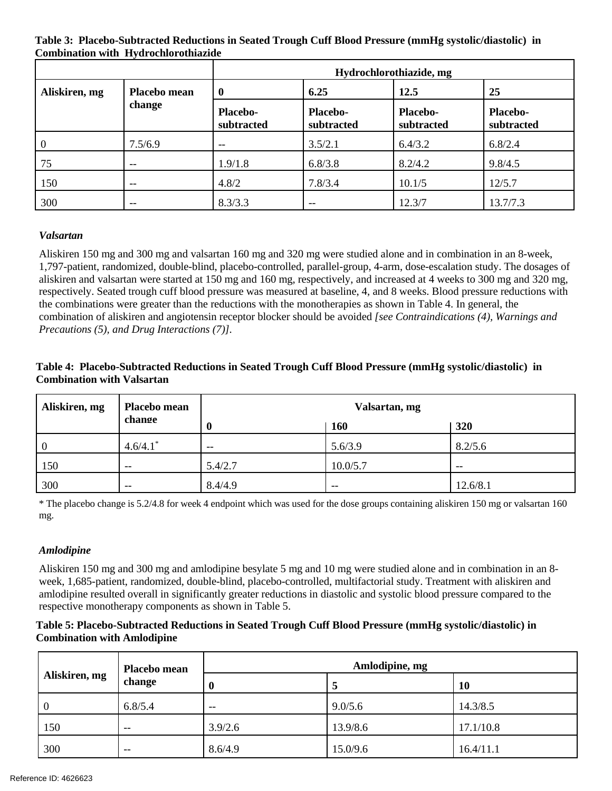**Table 3: Placebo-Subtracted Reductions in Seated Trough Cuff Blood Pressure (mmHg systolic/diastolic) in Combination with Hydrochlorothiazide** 

|               |                               | Hydrochlorothiazide, mg       |                               |                               |                               |  |
|---------------|-------------------------------|-------------------------------|-------------------------------|-------------------------------|-------------------------------|--|
| Aliskiren, mg | <b>Placebo mean</b><br>change | 6.25<br>$\mathbf{0}$          |                               | 12.5                          | 25                            |  |
|               |                               | <b>Placebo-</b><br>subtracted | <b>Placebo-</b><br>subtracted | <b>Placebo-</b><br>subtracted | <b>Placebo-</b><br>subtracted |  |
| $\theta$      | 7.5/6.9                       |                               | 3.5/2.1                       | 6.4/3.2                       | 6.8/2.4                       |  |
| 75            | $- -$                         | 1.9/1.8                       | 6.8/3.8                       | 8.2/4.2                       | 9.8/4.5                       |  |
| 150           | $-$                           | 4.8/2                         | 7.8/3.4                       | 10.1/5                        | 12/5.7                        |  |
| 300           | $- -$                         | 8.3/3.3                       | --                            | 12.3/7                        | 13.7/7.3                      |  |

#### *Valsartan*

Aliskiren 150 mg and 300 mg and valsartan 160 mg and 320 mg were studied alone and in combination in an 8-week, 1,797-patient, randomized, double-blind, placebo-controlled, parallel-group, 4-arm, dose-escalation study. The dosages of aliskiren and valsartan were started at 150 mg and 160 mg, respectively, and increased at 4 weeks to 300 mg and 320 mg, respectively. Seated trough cuff blood pressure was measured at baseline, 4, and 8 weeks. Blood pressure reductions with the combinations were greater than the reductions with the monotherapies as shown in Table 4. In general, the combination of aliskiren and angiotensin receptor blocker should be avoided *[see Contraindications (4), Warnings and Precautions (5), and Drug Interactions (7)].* 

#### **Table 4: Placebo-Subtracted Reductions in Seated Trough Cuff Blood Pressure (mmHg systolic/diastolic) in Combination with Valsartan**

| Aliskiren, mg | <b>Placebo mean</b><br>change | Valsartan, mg |            |          |  |
|---------------|-------------------------------|---------------|------------|----------|--|
|               |                               |               | <b>160</b> | 320      |  |
|               | $4.6/4.1$ <sup>*</sup>        | $- -$         | 5.6/3.9    | 8.2/5.6  |  |
| 150           | $- -$                         | 5.4/2.7       | 10.0/5.7   | $- -$    |  |
| 300           | $- -$                         | 8.4/4.9       | $- -$      | 12.6/8.1 |  |

\* The placebo change is 5.2/4.8 for week 4 endpoint which was used for the dose groups containing aliskiren 150 mg or valsartan 160 mg.

#### *Amlodipine*

Aliskiren 150 mg and 300 mg and amlodipine besylate 5 mg and 10 mg were studied alone and in combination in an 8 week, 1,685-patient, randomized, double-blind, placebo-controlled, multifactorial study. Treatment with aliskiren and amlodipine resulted overall in significantly greater reductions in diastolic and systolic blood pressure compared to the respective monotherapy components as shown in Table 5.

#### **Table 5: Placebo-Subtracted Reductions in Seated Trough Cuff Blood Pressure (mmHg systolic/diastolic) in Combination with Amlodipine**

<span id="page-12-0"></span>

|                | <b>Placebo mean</b><br>change | Amlodipine, mg |          |           |  |
|----------------|-------------------------------|----------------|----------|-----------|--|
| Aliskiren, mg  |                               |                |          | 10        |  |
| $\overline{0}$ | 6.8/5.4                       | $- -$          | 9.0/5.6  | 14.3/8.5  |  |
| 150            | $- -$                         | 3.9/2.6        | 13.9/8.6 | 17.1/10.8 |  |
| 300            | $- -$                         | 8.6/4.9        | 15.0/9.6 | 16.4/11.1 |  |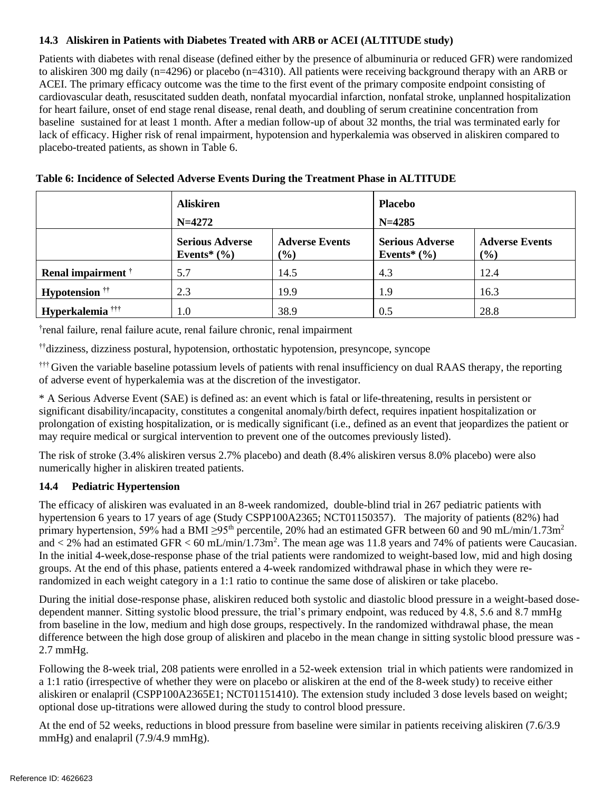#### **14.3 Aliskiren in Patients with Diabetes Treated with ARB or ACEI (ALTITUDE study)**

Patients with diabetes with renal disease (defined either by the presence of albuminuria or reduced GFR) were randomized to aliskiren 300 mg daily (n=4296) or placebo (n=4310). All patients were receiving background therapy with an ARB or ACEI. The primary efficacy outcome was the time to the first event of the primary composite endpoint consisting of cardiovascular death, resuscitated sudden death, nonfatal myocardial infarction, nonfatal stroke, unplanned hospitalization for heart failure, onset of end stage renal disease, renal death, and doubling of serum creatinine concentration from baseline sustained for at least 1 month. After a median follow-up of about 32 months, the trial was terminated early for lack of efficacy. Higher risk of renal impairment, hypotension and hyperkalemia was observed in aliskiren compared to placebo-treated patients, as shown in Table 6.

|                                  | <b>Aliskiren</b><br>$N = 4272$            |                              | <b>Placebo</b><br>$N = 4285$              |                              |
|----------------------------------|-------------------------------------------|------------------------------|-------------------------------------------|------------------------------|
|                                  | <b>Serious Adverse</b><br>Events* $(\% )$ | <b>Adverse Events</b><br>(%) | <b>Serious Adverse</b><br>Events* $(\% )$ | <b>Adverse Events</b><br>(%) |
| Renal impairment <sup>†</sup>    | 5.7                                       | 14.5                         | 4.3                                       | 12.4                         |
| <b>Hypotension</b> <sup>††</sup> | 2.3                                       | 19.9                         | 1.9                                       | 16.3                         |
| Hyperkalemia <sup>†††</sup>      | 1.0                                       | 38.9                         | 0.5                                       | 28.8                         |

| Table 6: Incidence of Selected Adverse Events During the Treatment Phase in ALTITUDE |  |
|--------------------------------------------------------------------------------------|--|
|--------------------------------------------------------------------------------------|--|

† renal failure, renal failure acute, renal failure chronic, renal impairment

††dizziness, dizziness postural, hypotension, orthostatic hypotension, presyncope, syncope

††† Given the variable baseline potassium levels of patients with renal insufficiency on dual RAAS therapy, the reporting of adverse event of hyperkalemia was at the discretion of the investigator.

\* A Serious Adverse Event (SAE) is defined as: an event which is fatal or life-threatening, results in persistent or significant disability/incapacity, constitutes a congenital anomaly/birth defect, requires inpatient hospitalization or prolongation of existing hospitalization, or is medically significant (i.e., defined as an event that jeopardizes the patient or may require medical or surgical intervention to prevent one of the outcomes previously listed).

The risk of stroke (3.4% aliskiren versus 2.7% placebo) and death (8.4% aliskiren versus 8.0% placebo) were also numerically higher in aliskiren treated patients.

#### <span id="page-13-0"></span>**14.4 Pediatric Hypertension**

 The efficacy of aliskiren was evaluated in an 8-week randomized, double-blind trial in 267 pediatric patients with hypertension 6 years to 17 years of age (Study CSPP100A2365; NCT01150357). The majority of patients (82%) had primary hypertension, 59% had a BMI ≥95<sup>th</sup> percentile, 20% had an estimated GFR between 60 and 90 mL/min/1.73m<sup>2</sup> and  $\lt 2\%$  had an estimated GFR  $\lt 60$  mL/min/1.73m<sup>2</sup>. The mean age was 11.8 years and 74% of patients were Caucasian. In the initial 4-week,dose-response phase of the trial patients were randomized to weight-based low, mid and high dosing groups. At the end of this phase, patients entered a 4-week randomized withdrawal phase in which they were rerandomized in each weight category in a 1:1 ratio to continue the same dose of aliskiren or take placebo.

During the initial dose-response phase, aliskiren reduced both systolic and diastolic blood pressure in a weight-based dosedependent manner. Sitting systolic blood pressure, the trial's primary endpoint, was reduced by 4.8, 5.6 and 8.7 mmHg from baseline in the low, medium and high dose groups, respectively. In the randomized withdrawal phase, the mean difference between the high dose group of aliskiren and placebo in the mean change in sitting systolic blood pressure was 2.7 mmHg.

 aliskiren or enalapril (CSPP100A2365E1; NCT01151410). The extension study included 3 dose levels based on weight; Following the 8-week trial, 208 patients were enrolled in a 52-week extension trial in which patients were randomized in a 1:1 ratio (irrespective of whether they were on placebo or aliskiren at the end of the 8-week study) to receive either optional dose up-titrations were allowed during the study to control blood pressure.

At the end of 52 weeks, reductions in blood pressure from baseline were similar in patients receiving aliskiren (7.6/3.9 mmHg) and enalapril (7.9/4.9 mmHg).